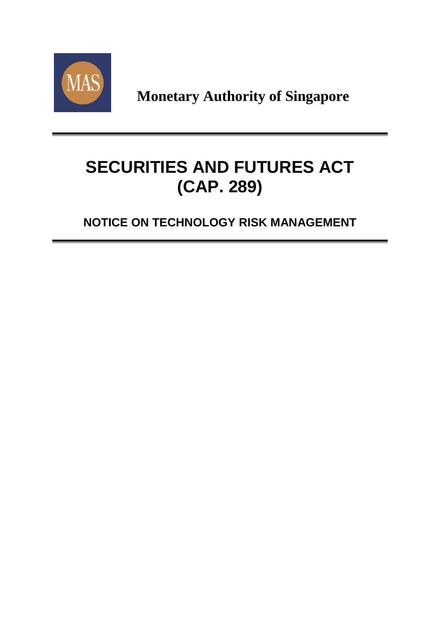

**Monetary Authority of Singapore**

# **SECURITIES AND FUTURES ACT (CAP. 289)**

**NOTICE ON TECHNOLOGY RISK MANAGEMENT**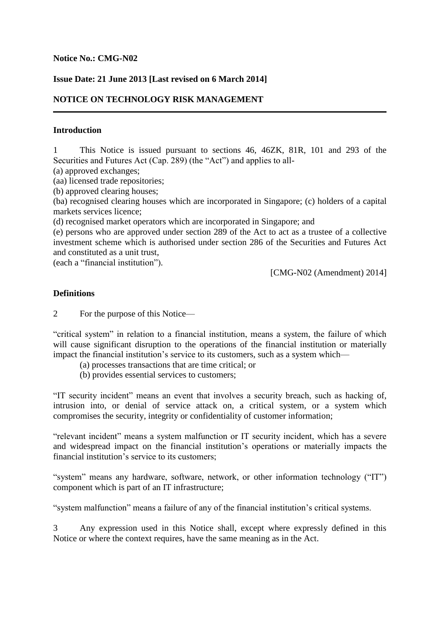#### **Notice No.: CMG-N02**

## **Issue Date: 21 June 2013 [Last revised on 6 March 2014]**

# **NOTICE ON TECHNOLOGY RISK MANAGEMENT**

#### **Introduction**

1 This Notice is issued pursuant to sections 46, 46ZK, 81R, 101 and 293 of the Securities and Futures Act (Cap. 289) (the "Act") and applies to all-

(a) approved exchanges;

(aa) licensed trade repositories;

(b) approved clearing houses;

(ba) recognised clearing houses which are incorporated in Singapore; (c) holders of a capital markets services licence;

(d) recognised market operators which are incorporated in Singapore; and

(e) persons who are approved under section 289 of the Act to act as a trustee of a collective investment scheme which is authorised under section 286 of the Securities and Futures Act and constituted as a unit trust,

(each a "financial institution").

[CMG-N02 (Amendment) 2014]

#### **Definitions**

2 For the purpose of this Notice—

"critical system" in relation to a financial institution, means a system, the failure of which will cause significant disruption to the operations of the financial institution or materially impact the financial institution's service to its customers, such as a system which—

- (a) processes transactions that are time critical; or
- (b) provides essential services to customers;

"IT security incident" means an event that involves a security breach, such as hacking of, intrusion into, or denial of service attack on, a critical system, or a system which compromises the security, integrity or confidentiality of customer information;

"relevant incident" means a system malfunction or IT security incident, which has a severe and widespread impact on the financial institution's operations or materially impacts the financial institution's service to its customers;

"system" means any hardware, software, network, or other information technology ("IT") component which is part of an IT infrastructure;

"system malfunction" means a failure of any of the financial institution's critical systems.

3 Any expression used in this Notice shall, except where expressly defined in this Notice or where the context requires, have the same meaning as in the Act.